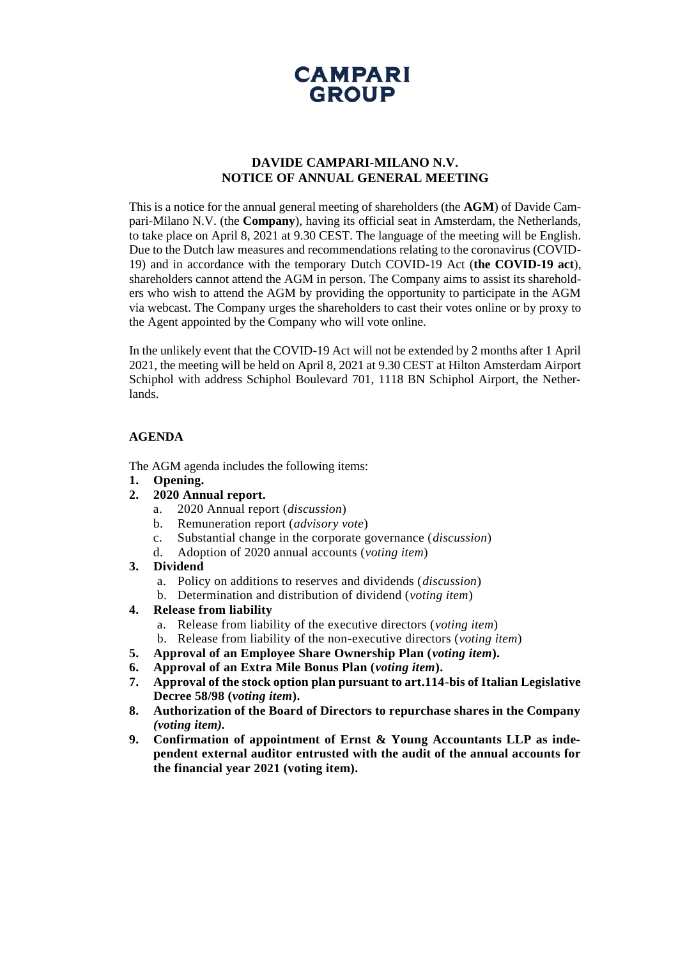

# **DAVIDE CAMPARI-MILANO N.V. NOTICE OF ANNUAL GENERAL MEETING**

This is a notice for the annual general meeting of shareholders (the **AGM**) of Davide Campari-Milano N.V. (the **Company**), having its official seat in Amsterdam, the Netherlands, to take place on April 8, 2021 at 9.30 CEST. The language of the meeting will be English. Due to the Dutch law measures and recommendations relating to the coronavirus (COVID-19) and in accordance with the temporary Dutch COVID-19 Act (**the COVID-19 act**), shareholders cannot attend the AGM in person. The Company aims to assist its shareholders who wish to attend the AGM by providing the opportunity to participate in the AGM via webcast. The Company urges the shareholders to cast their votes online or by proxy to the Agent appointed by the Company who will vote online.

In the unlikely event that the COVID-19 Act will not be extended by 2 months after 1 April 2021, the meeting will be held on April 8, 2021 at 9.30 CEST at Hilton Amsterdam Airport Schiphol with address Schiphol Boulevard 701, 1118 BN Schiphol Airport, the Netherlands.

### **AGENDA**

The AGM agenda includes the following items:

- **1. Opening.**
- **2. 2020 Annual report.**
	- a. 2020 Annual report (*discussion*)
	- b. Remuneration report (*advisory vote*)
	- c. Substantial change in the corporate governance (*discussion*)
	- d. Adoption of 2020 annual accounts (*voting item*)
- **3. Dividend**
	- a. Policy on additions to reserves and dividends (*discussion*)
	- b. Determination and distribution of dividend (*voting item*)
- **4. Release from liability**
	- a. Release from liability of the executive directors (*voting item*)
	- b. Release from liability of the non-executive directors (*voting item*)
- **5. Approval of an Employee Share Ownership Plan (***voting item***).**
- **6. Approval of an Extra Mile Bonus Plan (***voting item***).**
- **7. Approval of the stock option plan pursuant to art.114-bis of Italian Legislative Decree 58/98 (***voting item***).**
- **8. Authorization of the Board of Directors to repurchase shares in the Company**  *(voting item).*
- **9. Confirmation of appointment of Ernst & Young Accountants LLP as independent external auditor entrusted with the audit of the annual accounts for the financial year 2021 (voting item).**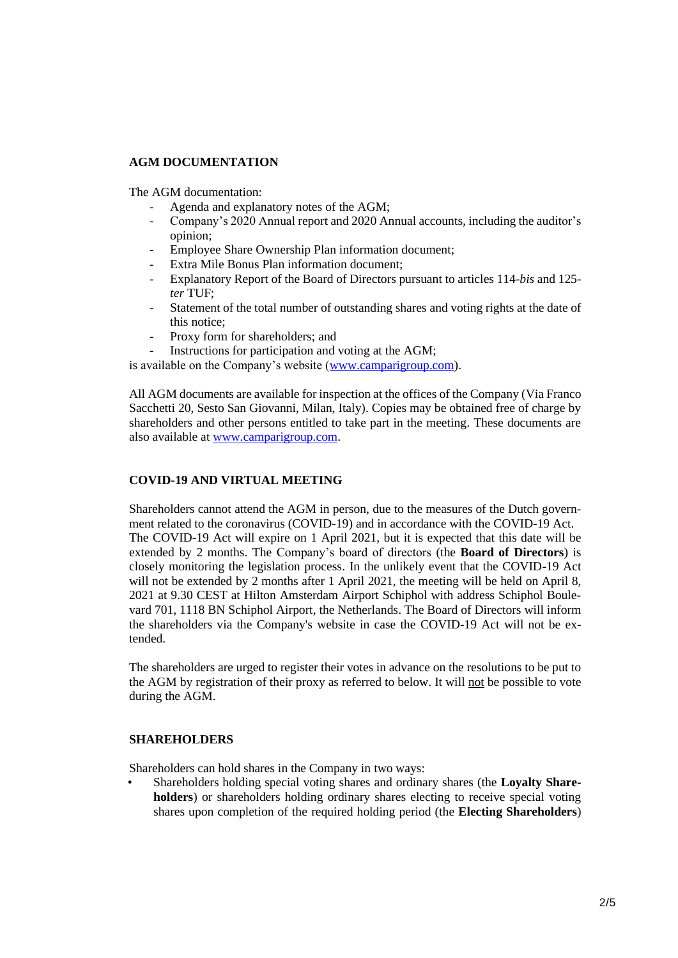## **AGM DOCUMENTATION**

The AGM documentation:

- Agenda and explanatory notes of the AGM;
- Company's 2020 Annual report and 2020 Annual accounts, including the auditor's opinion;
- Employee Share Ownership Plan information document;
- Extra Mile Bonus Plan information document;
- Explanatory Report of the Board of Directors pursuant to articles 114-*bis* and 125 *ter* TUF;
- Statement of the total number of outstanding shares and voting rights at the date of this notice;
- Proxy form for shareholders; and
- Instructions for participation and voting at the AGM;

is available on the Company's website [\(www.camparigroup.com\)](http://www.camparigroup.com/).

All AGM documents are available for inspection at the offices of the Company (Via Franco Sacchetti 20, Sesto San Giovanni, Milan, Italy). Copies may be obtained free of charge by shareholders and other persons entitled to take part in the meeting. These documents are also available at [www.camparigroup.com.](http://www.camparigroup.com/)

# **COVID-19 AND VIRTUAL MEETING**

Shareholders cannot attend the AGM in person, due to the measures of the Dutch government related to the coronavirus (COVID-19) and in accordance with the COVID-19 Act. The COVID-19 Act will expire on 1 April 2021, but it is expected that this date will be extended by 2 months. The Company's board of directors (the **Board of Directors**) is closely monitoring the legislation process. In the unlikely event that the COVID-19 Act will not be extended by 2 months after 1 April 2021, the meeting will be held on April 8, 2021 at 9.30 CEST at Hilton Amsterdam Airport Schiphol with address Schiphol Boulevard 701, 1118 BN Schiphol Airport, the Netherlands. The Board of Directors will inform the shareholders via the Company's website in case the COVID-19 Act will not be extended.

The shareholders are urged to register their votes in advance on the resolutions to be put to the AGM by registration of their proxy as referred to below. It will not be possible to vote during the AGM.

# **SHAREHOLDERS**

Shareholders can hold shares in the Company in two ways:

• Shareholders holding special voting shares and ordinary shares (the **Loyalty Shareholders**) or shareholders holding ordinary shares electing to receive special voting shares upon completion of the required holding period (the **Electing Shareholders**)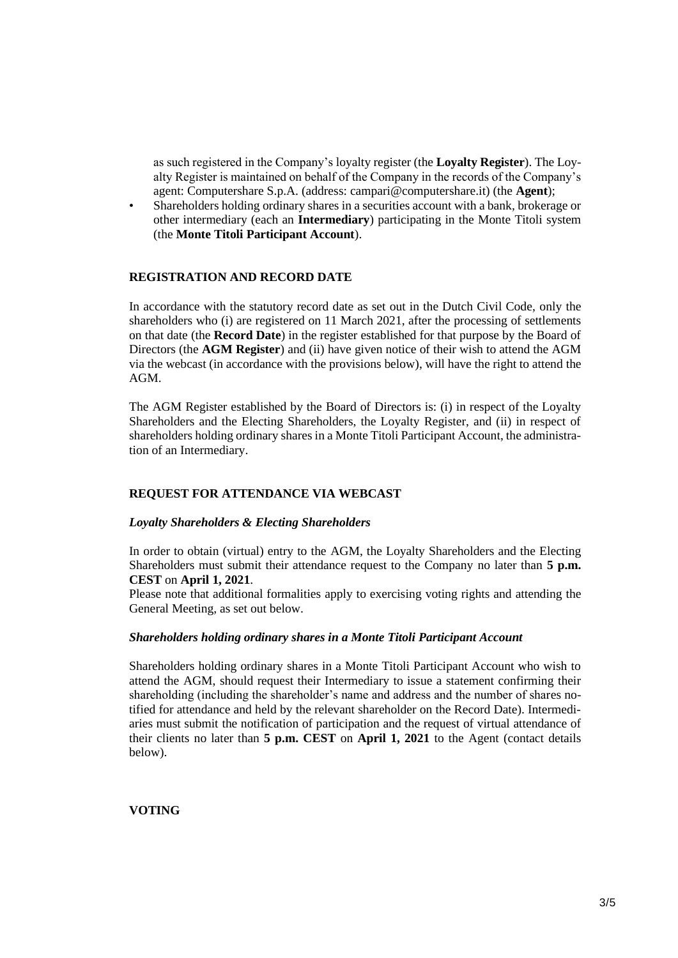as such registered in the Company's loyalty register (the **Loyalty Register**). The Loyalty Register is maintained on behalf of the Company in the records of the Company's agent: Computershare S.p.A. (address: campari@computershare.it) (the **Agent**);

• Shareholders holding ordinary shares in a securities account with a bank, brokerage or other intermediary (each an **Intermediary**) participating in the Monte Titoli system (the **Monte Titoli Participant Account**).

### **REGISTRATION AND RECORD DATE**

In accordance with the statutory record date as set out in the Dutch Civil Code, only the shareholders who (i) are registered on 11 March 2021, after the processing of settlements on that date (the **Record Date**) in the register established for that purpose by the Board of Directors (the **AGM Register**) and (ii) have given notice of their wish to attend the AGM via the webcast (in accordance with the provisions below), will have the right to attend the AGM.

The AGM Register established by the Board of Directors is: (i) in respect of the Loyalty Shareholders and the Electing Shareholders, the Loyalty Register, and (ii) in respect of shareholders holding ordinary shares in a Monte Titoli Participant Account, the administration of an Intermediary.

### **REQUEST FOR ATTENDANCE VIA WEBCAST**

#### *Loyalty Shareholders & Electing Shareholders*

In order to obtain (virtual) entry to the AGM, the Loyalty Shareholders and the Electing Shareholders must submit their attendance request to the Company no later than **5 p.m. CEST** on **April 1, 2021**.

Please note that additional formalities apply to exercising voting rights and attending the General Meeting, as set out below.

#### *Shareholders holding ordinary shares in a Monte Titoli Participant Account*

Shareholders holding ordinary shares in a Monte Titoli Participant Account who wish to attend the AGM, should request their Intermediary to issue a statement confirming their shareholding (including the shareholder's name and address and the number of shares notified for attendance and held by the relevant shareholder on the Record Date). Intermediaries must submit the notification of participation and the request of virtual attendance of their clients no later than **5 p.m. CEST** on **April 1, 2021** to the Agent (contact details below).

### **VOTING**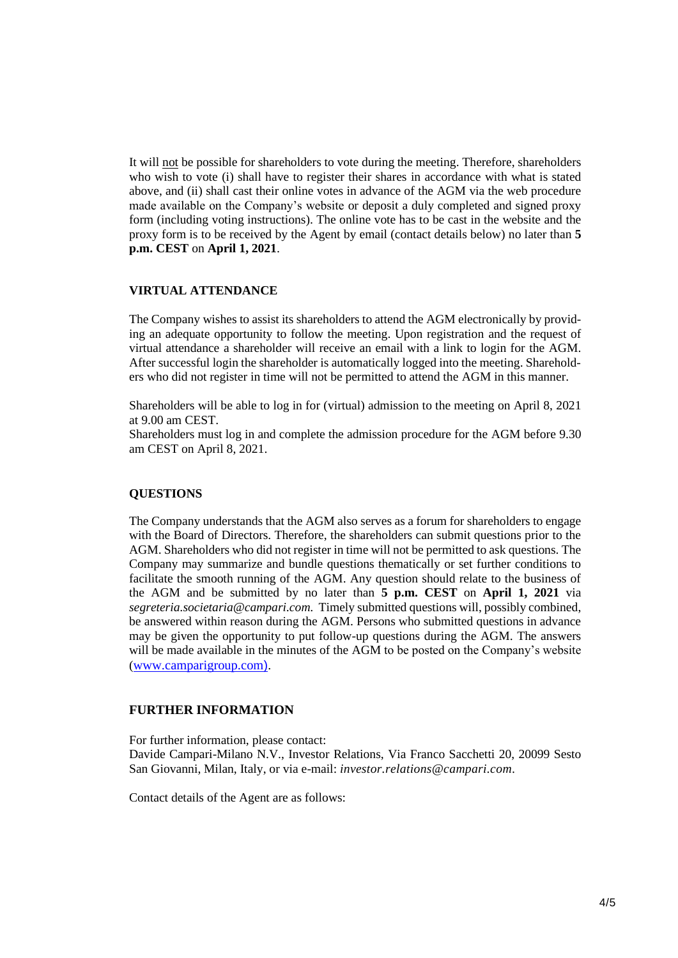It will not be possible for shareholders to vote during the meeting. Therefore, shareholders who wish to vote (i) shall have to register their shares in accordance with what is stated above, and (ii) shall cast their online votes in advance of the AGM via the web procedure made available on the Company's website or deposit a duly completed and signed proxy form (including voting instructions). The online vote has to be cast in the website and the proxy form is to be received by the Agent by email (contact details below) no later than **5 p.m. CEST** on **April 1, 2021**.

## **VIRTUAL ATTENDANCE**

The Company wishes to assist its shareholders to attend the AGM electronically by providing an adequate opportunity to follow the meeting. Upon registration and the request of virtual attendance a shareholder will receive an email with a link to login for the AGM. After successful login the shareholder is automatically logged into the meeting. Shareholders who did not register in time will not be permitted to attend the AGM in this manner.

Shareholders will be able to log in for (virtual) admission to the meeting on April 8, 2021 at 9.00 am CEST.

Shareholders must log in and complete the admission procedure for the AGM before 9.30 am CEST on April 8, 2021.

### **QUESTIONS**

The Company understands that the AGM also serves as a forum for shareholders to engage with the Board of Directors. Therefore, the shareholders can submit questions prior to the AGM. Shareholders who did not register in time will not be permitted to ask questions. The Company may summarize and bundle questions thematically or set further conditions to facilitate the smooth running of the AGM. Any question should relate to the business of the AGM and be submitted by no later than **5 p.m. CEST** on **April 1, 2021** via *segreteria.societaria@campari.com.* Timely submitted questions will, possibly combined, be answered within reason during the AGM. Persons who submitted questions in advance may be given the opportunity to put follow-up questions during the AGM. The answers will be made available in the minutes of the AGM to be posted on the Company's website ([www.camparigroup.com](http://www.camparigroup.com/)).

### **FURTHER INFORMATION**

For further information, please contact: Davide Campari-Milano N.V., Investor Relations, Via Franco Sacchetti 20, 20099 Sesto San Giovanni, Milan, Italy, or via e-mail: *[investor.relations@campari.com.](mailto:investor.relations@campari.com)*

Contact details of the Agent are as follows: